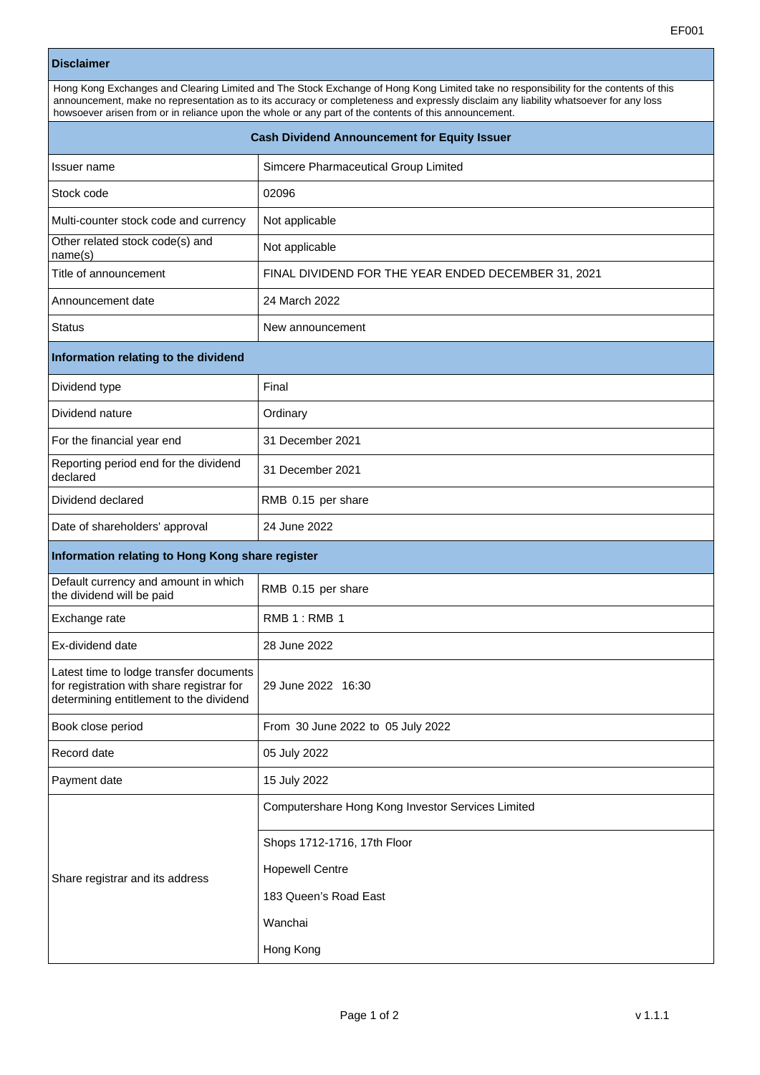## **Disclaimer**

| Hong Kong Exchanges and Clearing Limited and The Stock Exchange of Hong Kong Limited take no responsibility for the contents of this<br>announcement, make no representation as to its accuracy or completeness and expressly disclaim any liability whatsoever for any loss<br>howsoever arisen from or in reliance upon the whole or any part of the contents of this announcement. |                                      |  |
|---------------------------------------------------------------------------------------------------------------------------------------------------------------------------------------------------------------------------------------------------------------------------------------------------------------------------------------------------------------------------------------|--------------------------------------|--|
| <b>Cash Dividend Announcement for Equity Issuer</b>                                                                                                                                                                                                                                                                                                                                   |                                      |  |
| Issuer name                                                                                                                                                                                                                                                                                                                                                                           | Simcere Pharmaceutical Group Limited |  |

| Title of announcement                             | FINAL DIVIDEND FOR THE YEAR ENDED DECEMBER 31, 2021 |  |
|---------------------------------------------------|-----------------------------------------------------|--|
| Announcement date                                 | 24 March 2022                                       |  |
| <b>Status</b>                                     | New announcement                                    |  |
| Information relating to the dividend              |                                                     |  |
| Dividend type                                     | Final                                               |  |
| Dividend nature                                   | Ordinary                                            |  |
| For the financial year end                        | 31 December 2021                                    |  |
| Reporting period end for the dividend<br>declared | 31 December 2021                                    |  |
| Dividend declared                                 | RMB 0.15 per share                                  |  |

|  | Information relating to Hong Kong share register |
|--|--------------------------------------------------|
|  |                                                  |

Date of shareholders' approval 24 June 2022

Stock code 20096

Multi-counter stock code and currency  $\vert$  Not applicable

Other related stock code(s) and **Not applicable**<br>
name(s)

| Default currency and amount in which<br>the dividend will be paid                                                               | RMB 0.15 per share                                |  |
|---------------------------------------------------------------------------------------------------------------------------------|---------------------------------------------------|--|
| Exchange rate                                                                                                                   | <b>RMB 1: RMB 1</b>                               |  |
| Ex-dividend date                                                                                                                | 28 June 2022                                      |  |
| Latest time to lodge transfer documents<br>for registration with share registrar for<br>determining entitlement to the dividend | 29 June 2022 16:30                                |  |
| Book close period                                                                                                               | From 30 June 2022 to 05 July 2022                 |  |
| Record date                                                                                                                     | 05 July 2022                                      |  |
| Payment date                                                                                                                    | 15 July 2022                                      |  |
| Share registrar and its address                                                                                                 | Computershare Hong Kong Investor Services Limited |  |
|                                                                                                                                 | Shops 1712-1716, 17th Floor                       |  |
|                                                                                                                                 | <b>Hopewell Centre</b>                            |  |
|                                                                                                                                 | 183 Queen's Road East                             |  |
|                                                                                                                                 | Wanchai                                           |  |
|                                                                                                                                 | Hong Kong                                         |  |